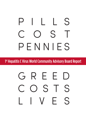# PILLS S PENNIES

1<sup>st</sup> Hepatitis C Virus World Community Advisory Board Report

# GREED STS LIVES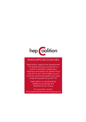

# WWW.HEPCOALITION.ORG

hepCoalition supports the development of a global advocacy movement on access to hepatitis C diagnostics, treatment and support for people living with HCV in low- and middle-income countries, particularly people who inject drugs and people living with HIV.

> hepCoalition is coordinated by Médecins du Monde and Treatment Action Group.

For more info, contact: karyn.kaplan@treatmentactiongroup.org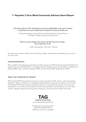# **1st Hepatitis C Virus World Community Advisory Board Report**

*If the prices [of new HCV treatments] were to be unaffordable once more in history, it would be one more scandal around inequity of access to health care.* 

—Michel Kazatchkine, United Nations Secretary–General's Special Envoy on HIV/AIDS in Eastern Europe and Central Asia

*There are many people who cannot wait [for the price to drop]… they simply have to die.* 

—Giten Kwairakpham, Treat Asia, Thailand

This report was written by Odilon Couzin and Karyn Kaplan, and edited by Andrea Benzacar, Lei Chou, and Tracy Swan.

#### ACKNOWLEDGMENTS

TAG is grateful to the following organizations for their support: the AIDS Fonds, the Asia Pacific Network of People Living with HIV/AIDS (APN+), the Global Network of People Living with HIV (GNP+), Médecins du Monde (MdM), Open Society Foundations (OSF), and the World Health Organization (WHO).

#### ABOUT TAG'S HEPATITIS/HIV PROJECT

TAG's Hepatitis/HIV Project draws from the core values and history of HIV activism, while incorporating hepatitis C–specific information into strategies targeting different constituencies, regions, and countries. The Hepatitis/HIV Project focuses on optimizing quality of, and broadening access to, HCV care and treatment for communities and individuals by continuing its domestic and international work with other activists, regulatory agencies, pharmaceutical companies, clinicians, and the patient community.



© Treatment Action Group 2014 ISBN 978-0-9895740-8-2 Permission to use w/o copyright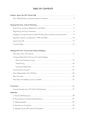# **TABLE OF CONTENTS**

| Strategies to Increase Access for PEG-IFN Biosimilars and Direct-Acting Antivirals  8 |  |
|---------------------------------------------------------------------------------------|--|
|                                                                                       |  |
|                                                                                       |  |
|                                                                                       |  |
| Meeting Part Two: Community-Industry Dialogue                                         |  |
|                                                                                       |  |
| Company Rationale for Pricing and Access Strategies                                   |  |
|                                                                                       |  |
|                                                                                       |  |
|                                                                                       |  |
|                                                                                       |  |
|                                                                                       |  |
|                                                                                       |  |
|                                                                                       |  |
|                                                                                       |  |
|                                                                                       |  |
| Appendix                                                                              |  |
|                                                                                       |  |
|                                                                                       |  |
|                                                                                       |  |
|                                                                                       |  |
|                                                                                       |  |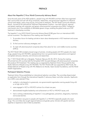# **PREFACE**

## About the Hepatitis C Virus World Community Advisory Board

Since the early years of the AIDS epidemic, people living with HIV/AIDS and their allies have organized their communities and met with drug companies, researchers, and government regulators to influence clinical trials design, policy, drug pricing, and access to treatment. The HIV World Community Advisory Board—formed by the International Treatment Preparedness Coalition—has held national, regional, and global meetings with originator and generic pharmaceutical companies since 2004. It played an instrumental role in the availability of affordable generic drugs, enabling the global scale-up of HIV treatment in developing countries.

The hepatitis C virus (HCV) World Community Advisory Board (CAB) grew from an international AIDS activist movement. The objectives of the meeting were three-fold:

- 1. To provide a forum for leading activists to learn about developments in HCV treatment and access barriers;
- 2. To find common advocacy strategies; and
- 3. To meet with pharmaceutical companies about their plans for low- and middle-income countries (LMICs).

The HCV World CAB included a broad range of activists, including people with HCV, people who inject drugs, people living with HIV/AIDS, representatives from non-governmental organizations and regional and global advocacy networks, and clinicians and researchers.

The 1<sup>st</sup> HCV World CAB met in Bangkok, Thailand, February 22–25, 2014. During the meeting, 38 activists from 22 countries held the first global LMIC-focused dialogue with pharmaceutical companies that produce HCV treatment. The meeting was co-organized by Treatment Action Group and the Asia Pacific Network of People Living with HIV/AIDS. The HCV World CAB was supported by AIDS Fonds, the Global Network of People Living with HIV, Médecins du Monde, Open Society Foundations, and the World Health Organization.

#### Participant Selection Process

Treatment Action Group established an international selection committee. The committee disseminated an application form through the international hepatitis C advocacy listserv and other networks. Applicants from LMICs were selected if they:

- worked or volunteered at a grassroots, non-governmental organization serving people living with or at high risk for HCV;
- were engaged in HCV or HIV/HCV activism for at least one year;
- demonstrated tangible leadership and achievement on HCV or HIV/HCV issues; and
- had a working understanding of hepatitis C virus pathogenesis, prevention, diagnostics, treatment, and access barriers.

Special consideration was given to people with hepatitis C or HIV/HCV, especially people who inject drugs. The committee also sought regional balance and gender parity. Activists with specific technical expertise or experience were invited as presenters.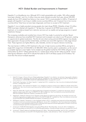## HCV: Global Burden and Improvements in Treatment

Hepatitis C is a bloodborne virus. Although HCV is both preventable and curable, 185 million people have been infected,<sup>1</sup> and 3 to 4 million more are newly infected annually. Each year, almost 500,000 people die from HCV related liver failure or liver cancer.2 HCV is most prevalent in LMICs; 72 percent of people with hepatitis C are living in middle-income countries (MICs), and 13 percent live in low-income countries (LICs).3 Most have not even been diagnosed, and have no access to HCV treatment.

Hepatitis C virus is highly prevalent among people who inject drugs (PWID). Globally, at least 10 million PWID have been infected with hepatitis C.4 Yet less than 4 percent of all PWID have access to HCV treatment, or to evidence-based harm reduction services such as needle and syringe programs or opioid substitution therapy.<sup>5</sup>

The increasing morbidity and mortality from chronic HCV has made it a priority for activists. Recent therapeutic advances have simplified HCV treatment and increased cure rates to over 90 percent, creating an opportunity for global eradication. The first all-oral, direct-acting antiviral (DAA) regimen has already been approved in Europe and the United States, and there are more DAA regimens in late-stage clinical trials. These regimens are highly effective, safe, tolerable, and do not require intensive monitoring.

The main barrier in LMICs to HCV treatment is the cost. In high-income countries (HICs), pricing for a single DAA ranges from US \$55,000 to US \$84,000. DAAs must be used in combination, so the cost of a complete regimen is even higher. Some analysts say the global market for HCV DAAs will grow to US \$18.6 billion by 2019.<sup>6</sup> Others estimate the U.S. market alone will be US \$21 billion by 2018.<sup>7</sup> Actual sales figures released in April 2014 indicate that sales for 2014 will likely surpass US \$10 billion.<sup>8</sup> far more than the amount analysts expected.

<sup>1.</sup> Mohd HK, Groeger J, Flaxman AD, et al. Global epidemiology of hepatitis C virus infection: new estimates of age-specific antibody to HCV seroprevalence. Hepatology. 2013 Apr;57(4):1333-42. Available from: http://onlinelibrary.wiley.com/doi/10.1002/hep.26141/ abstract;jsessionid=C2EF2DD38B14D060A7DE168B58AB5EB6.f02t04. (Accessed 2014 June 9)

<sup>2.</sup> World Health Organization. Fact Sheet: Hepatitis C. Updated April 2014. Available from: http://www.who.int/mediacentre/factsheets/ fs164/en/. (Accessed 2014 June 9)

<sup>3.</sup> Londeix P, Forette C. New treatments for hepatitis C virus: strategies for achieving universal access. Médecins du Monde. March 2014. Available from: http://www.hcvaction.org.uk/resource/new-treatments-hepatitis-c-virus-strategies-achieving-universal-access. (Accessed 2014 June 9)

<sup>4.</sup> Nelson PK, Mathers BM, Cowie B, et al. Global epidemiology of hepatitis B and hepatitis C in people who inject drugs: results of systematic reviews. Lancet. 2011 Aug 13;378(9791):571–83. Available from: http://www.thelancet.com/journals/lancet/article/ PIIS0140-6736%2811%2961097-0/abstract. (Accessed 2014 June 9)

<sup>5.</sup> Degenhardt L, Mathers B, Vickerman P, et al. Prevention of HIV infection for people who inject drugs: why individual, structural, and combination approaches are needed. Lancet. 2010 Jul 24;376(9737):285–301. Available from: http://www.thelancet.com/journals/ lancet/article/PIIS0140-6736%2810%2960742-8/abstract. (Accessed 2014 June 9)

<sup>6.</sup> GBI Research. Hepatitis C therapeutics in major developed markets to 2019—outstanding recent approvals and late-stage pipeline to transform clinical and commercial landscape. GBI Research. January 2014. Available from: http://www.researchmoz.us/hepatitisc-therapeutics-in-major-developed-markets-to-2019-outstanding-recent-approvals-and-late-stage-pipeline-to-transform-clinical-andcommercial-landscape-report.html. (Accessed 2014 June 9)

<sup>7.</sup> Armstrong D. "At \$84,000 Gilead Hepatitis C Drug Sets Off Payer Revolt," Bloomberg News. January 27, 2014. Available from: http://www.bloomberg.com/news/2014-01-27/at-84-000-gilead-hepatitis-c-drug-sets-off-payer-revolt.html. (Accessed 2014 June 9)

<sup>8.</sup> Armstrong D. "Gilead's Medicine Sovaldi Beats Estimates by \$1 Billion." Bloomberg BusinessWeek. April 23, 2014. Available from: http://www.businessweek.com/news/2014-04-22/gilead-beats-hepatitis-c-sales-estimates-by-1-billion. (Accessed 2014 June 9)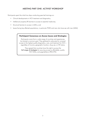# MEETING PART ONE: ACTIVIST WORKSHOP

Participants spent the initial two days conducting peer-led trainings on:

- Clinical developments in HCV treatment and diagnostics;
- Intellectual property (IP) barriers to access to essential medicines;
- Structural barriers to access in LMICs; and
- Issues facing key affected populations, in particular PWID and men who have sex with men (MSM).

## **Participant Consensus on Access Issues and Strategies**

Participants came from a wide range of countries and experiences, but shared a common goal. They gathered to advocate for universal access to the highest quality diagnostics, care, and treatment for HCV regardless of income, geographic location, drug use, or HIV status.

They agreed that countries have the right to pursue the *full range of strategies* for securing access to affordable, quality HCV DAAs, and peginterferon (PEG-IFN).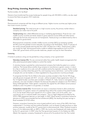## **Drug Pricing, Licensing, Registration, and Patents**

#### Pauline Londeix, Act Up-Basel

Generics have transformed the access landscape for people living with HIV/AIDS in LMICs; we also need to ensure that there are generic HCV medicines.

#### Pricing

Pharmaceutical companies sell their drugs at different prices. Higher-income countries pay higher prices than lower-income countries.

Standard pricing: The initial price set in a high-income country, the primary market where a company can make most of its profit.

Tiered pricing (also called differential pricing or marketing segmentation): Prices for low- and middle-income countries are tiered, based on gross national income (GNI) and other factors (although the formula and prices are not transparent). Tiered pricing is not determined by what is affordable for governments.

Pharmaceutical companies consider middle-income countries (MICs) as emerging markets. Yet MICs have the greatest income inequality. According to the World Bank, nearly 75 percent of the world's poorest people (earning less than US\$1.25/day) live in MICs. Tiered prices in MICs are usually too high, leaving governments unable to address large epidemics (such as HCV). When MIC governments cannot provide medicines, people must pay for them themselves.

#### Licensing

A license to produce a drug can be granted by a drug company, or by a government.

Voluntary License (VL): VLs are commercial rather than public health–based arrangements that allow pharmaceutical patent holders to control the market.

A voluntary license is granted by a pharmaceutical company that holds the patent on a certain medicine. The license allows another drug company to manufacture a generic version, in return for a fee or royalty (or at no cost), and with conditions set by the originator company. These include limiting the countries where they grant VLs, and imposing various restrictions—such as the number of people who can be treated, or where ingredients for drug production must be purchased.

If companies limit their VLs for DAAs to the same countries included in their VLs for HIV drugs, only 48 percent of people with HCV—at most—will be included in these agreements. Only 3 of the 15 highest-burden countries were included in Gilead's VL. India, home to most generic drug producers, was only included in Gilead's VLs because the patent for sofosbuvir (an HCV DAA) is being challenged there. Indian generic companies who signed VLs with Gilead cannot produce sofosbuvir, even if its patent is not granted, or revoked.

Compulsory License (CL): Governments can issue a compulsory license to allow production or importation of a generic version of a patented drug without the consent of the patent holder. A CL can be issued without prior request of a VL in certain cases, such as for public, noncommercial use in a national health care program.<sup>1</sup> This is a legal safeguard provided by the WTO's TRIPs agreement (see box on next page). In 2007, Brazil issued a compulsory license for efavirenz (a WHO recommended first-line antiretrovial [ARV]); the resulting five-year savings in Brazil exceeded US \$103 million.

However, compulsory licensing has come at great political cost to many of the LMICs that have implemented it. Countries may face political backlash, such as threats of trade sanctions or other punitive measures, usually by the U.S. government or pharmaceuticals. When Thailand moved to issue a CL for didanosine (ddI, an ARV) in 1999, the country was threatened with trade sanctions by the U.S. government. In 2007 when the Thai government issued a CL for Kaletra (an ARV), Abbott, the originator company, threatened to remove all of its products from the Thai market.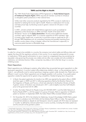## **TRIPS and the Right to Health**

The 1994 World Trade Organization (WTO) Agreement on *Trade-Related Aspects of Intellectual Property Rights* (TRIPS) required all member countries to introduce or strengthen patent protections in their national laws.

Unlike most other consumer products regulated by the WTO, access to medicines is essential to realizing the human right to health. Patents on medications limit access and keep prices high, by blocking access to generic versions for 20 years in most countries.

In 2001, activists worked with United Nations agencies to push successfully for adaptation of the *Declaration on TRIPS and Public Health* at the Doha WTO Ministerial.2 Known as the *Doha Declaration*, the document reaffirmed member countries' right to interpret TRIPS "in a manner supportive of WTO members' right to protect public health and, in particular, to promote access to medicines for all" through TRIPS flexibilities such as compulsory licensing and parallel importing (from another country where a drug is cheaper, without the manufacturer's approval), to overcome patent barriers to affordable drugs.

#### **Registration**

In order for a drug to be available in a country, the company must submit safety and efficacy data and register the drug with the regulatory authority in that country. It is an essential prerequisite for access to medications. While special authorization to use or import an unregistered drug may sometimes be requested, rules governing this process vary widely and are often very complex and only available to institutions, not individual doctors. Often, companies may delay or fail to file their drug in a country, inhibiting access.

#### Patent Oppositions

Patent oppositions are challenges to patents, either before they are granted (pre-grant opposition) or after (post-grant opposition). A country's patent office determines whether a drug—or the procedures used to make it—are sufficiently novel to warrant granting or keeping a patent under domestic law. Patent laws are different in each country. Patent oppositions are not legally possible in all countries. A successful patent opposition creates the opportunity for generic drug competition, thereby bringing down drug prices.

- In Brazil, the patent application for tenofovir (an ARV) was rejected by the patent office in 2008 (and then again in 2009 and 2011), following oppositions filed by the Brazilian Network for the Integration of People, and Fiocurz, a think tank attached to the Brazilian Ministry of Health. A generic version of tenofovir was introduced in 2011, sold at slightly more than half Gilead's price to the government (US \$1,380).
- In India, the Indian Network for People Living with HIV/AIDS (INP+) and the Delhi Network of Positive People (DNP+), with the support of a group of lawyers, filed an opposition to Gilead's patent on tenofovir. In September 2009, the Indian Patent Office revoked Gilead's patent.
- On November 25, 2013, the Initiative for Medicines, Access & Knowledge (I-MAK) filed a patent opposition to sofosbuvir (an HCV DAA) with the Kolkata Patent Office in India. The opposition contends that sofosbuvir, despite its real therapeutic value for people with HCV, does not represent a "novelty" as defined by national patent laws in some countries, including the Indian patent act, and thus should not be granted a patent.

<sup>1.</sup> World Health Organization. Trade, foreign policy, diplomacy, and health. Glossary of globalization, trade and health terms; licenses. Available from: http://who.int/trade/glossary/story063/en/. (Accessed 2014 June 9)

<sup>2.</sup> World Trade Organization. Declaration on the TRIPS agreement and public health. November 2001. Available from: http://www.wto.org/ english/thewto\_e/minist\_e/min01\_e/mindecl\_trips\_e.htm. (Accessed 2014 June 9)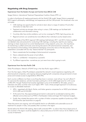## **Negotiating with Drug Companies**

## Experiences from the Eastern Europe and Central Asia (EECA) CAB

Sergey Golovin, International Treatment Preparedness Coalition–Russia (ITPC-ru)

In order to familiarize all meeting participants with the World CAB model, Sergey Golovin presented EECA region's philosophy, methodology, and experiences with the CAB process. He introduced a few core principles:

- CAB meetings are opportunities for activists to learn about a range of medical, IP, and other information to help their work.
- Treatment activists are stronger when acting in unison; CAB meetings can facilitate both collaboration and information sharing.
- • Countries often face similar problems, such as low coverage for PWID, high drug prices, etc.
- Regional activism can sometimes be more effective than individual country–based action.

Using the examples of five EECA regional CAB meetings held between 2011 and 2013, Golovin spelled out detailed rules and protocols for conducting CAB meetings, including the need for pre-meeting trainings on basic issues (such as current developments in drug research, price, etc.), the importance of maintaining a unified community voice during discussions with pharmaceutical companies, and the importance of formulating a final statement expressing community views on the discussions. The presentation concluded with four key "lessons learned" for participants:

- 1. Never overestimate the knowledge of pharmaceutical companies.
- 2. Never underestimate the power of joint efforts.
- 3. Public vs. confidential—transparency is powerful.
- 4. Try different approaches—sometimes you just never know what is going to work.

#### Experiences from the Asia Pacific CAB

Shiba Phurailatpam, Network of PLHIV living in the Asia Pacific region (APN+)

From the Asia region, Shiba Phurailatpam presented the network's recent experience negotiating with pharmaceutical companies, and ongoing advocacy targeting both companies and governments to lower prices and increase access to peginterferon (PEG-IFN).

Each country is different, but there is one thing they have in common: most will say "we can't afford it". To overcome this resistance, activists have been pushing for a US \$1,000 target price for a full course of PEG-IFN. Though Thailand had recently negotiated a price of US \$4,800 for 48 weeks, prices in Indonesia and other countries were much higher. APN+ took a three-pronged approach to its advocacy for access to affordable treatment:

- APN+ negotiated with Merck, Roche, and Indian generics companies for an NGO price between US \$1,000 and US \$2,000.
- At the same time, they approached governments to advocate for accelerated screening within affected communities (such as PWID in Northeastern India) and larger HCV treatment budgets.
- Finally, they initiated discussions with a number of Indian companies capable of producing a PEG-IFN biosimilar (see biosimilars on page 8).

These discussions are ongoing, and will hopefully lead to an affordable and sustainable source of treatment for people in India, and possibly other countries in the region.

Shortly before the World CAB meeting, Merck staff contacted APN+ to inform them that at least some of the countries in the region would be eligible for a discounted price of US \$41/vial (or US \$1,968 for a full course of treatment).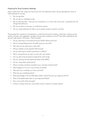### Preparing for Drug Company Meetings

Simon Collins from HIV i-base and Tracy Swan from the Treatment Action Group described the value of CAB meetings for activists:

- We can get data.
- We can get our messages across.
- We can educate them—they are not connected to or in touch with community—sometimes this will change their behavior.
- We can put them on the spot, to clarify their position.
- We can create pathways for follow-up on specific issues for specific countries.

They stressed the importance of presenting a united front during the meeting, rather than making countryspecific requests, and suggested a strategy: framing direct questions around 5 key LMICs (selected by the group) to get specific information. These included:

- Are you planning to use tiered pricing for DAAs? Where and how?
- Which ministers/departments of health have you met with?
- Who else are you planning to meet with?
- Will you release country-specific DAA pricing?
- Are you planning to locally manufacture in LMICs?
- Which companies do you plan to work with, and where?
- Can you tell us the price/price range set for each drug?
- Are you working with the Medicines Patent Pool (MPP)?
- Are you using other mechanisms?
- Which countries would be covered by your voluntary licenses (VLs)?
- What happens if I'm not in one of those countries?
- Why aren't you including our 5 key countries?
- What are your marketing plans?
- What percentage of the US \$20 billion dollar market share do you expect by 2019?
- What is the global sales data on your approved DAAs?
- How much profit will be enough?
- Is there a ceiling where you would relax access in advance of patent expiry?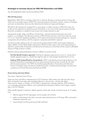## **Strategies to Increase Access for PEG-IFN Biosimilars and DAAs**

Azzi Momenghalibaf, Open Society Foundations (OSF)

#### PEG-IFN Biosimilars

Peginterferon (PEG-IFN) is a biologic rather than a chemical. Biologics must be produced in living cells. There are two branded versions of PEG-IFN, produced by Roche and Merck. Generic versions of biologics are known as biosimilars; there are also alternative formulations of approved biologics.

PEG-IFN is still important for treating HCV in some places. In LMICs, the price of PEG-IFN varies, but is often far too expensive for people to pay for themselves, or for many of their governments to provide. Biosimilar competition is needed to lower prices and increase treatment access.

Assessing the quality, safety, and efficacy of biosimilars—and proving they do the same job as the original—is a challenge. The alternative versions of PEG-IFN that we know of will never meet the current E.U. or U.S. biosimilar regulatory guidelines, which require almost the same data package (i.e., phase III comparative clinical trials) as what the originator companies submitted for approval.

Activists have been calling on the U.S. Food and Drug Administration (FDA), the European Medicines Agency (EMA), and the World Health Organization (WHO) to help create a clear and simple pathway to approval, assess quality of biosimilar and alternative formulations, so that there will be access to affordable versions of these products in LMICs.

Potential solutions being explored by activists in different countries include:

The Risk-Benefit Analysis approach: Pushing for regulatory approval by a non-E.U. country with a reliable regulatory body (i.e., Brazil) that might be open to a less stringent standard than E.U./U.S.

Seeking WHO prequalification and guidance: WHO could develop and provide guidance on the quality of biosimilars to purchasers (such as national governments), as they currently do with other pharmaceutical products. The WHO can facilitate prequalification of biosimilars and alternative versions of biologic drugs according to standards they set, including ensuring biologic manufacturers' compliance with Good Manufacturing Practices (GMP).

#### Direct-Acting Antivirals (DAAs)

Tracy Swan, Treatment Action Group

There are many oral DAAs in development for HCV treatment. DAAs need to be used with other drugs. DAA combinations have been safe and highly effective in clinical trials—with few side effects. There are four classes, or families, of HCV DAAs in development: protease inhibitors, NS5A inhibitors, non-nucleoside polymerase inhibitors, and nucleoside/tide polymerase inhibitors. Each targets a specific step in the HCV lifecycle.

DAAs simplify hepatitis C treatment; ideally, regimens will be safe, simple, and short-course ( $\leq 12$  weeks), and:

- effective against all HCV genotypes, and for people with cirrhosis;
- easily co-administered with other commonly used medicines (such as TB drugs, ARVs, and opioid substitution treatment); and
- require limited monitoring during and after treatment.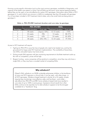Knowing country-specific information (such as the most common genotypes, availability of diagnostics, and capacity of the health care system) is critical. Not all DAAs are the same: some require expensive testing before they can be used, or are only effective for certain HCV genotypes. Information about DAAs in HCV genotypes 4, 5, and 6 (which are common in LMICs) is inadequate; less than 30 people with genotype 5 or 6 have been included in HCV treatment trials to date; only a few small trials are being done in genotype 4.

|                 | <b>PEG-IFN/RBV</b>        |             | <b>DAAs</b>               |           |
|-----------------|---------------------------|-------------|---------------------------|-----------|
| <b>Genotype</b> | <b>Treatment duration</b> | Cure rate   | <b>Treatment duration</b> | Cure rate |
|                 | 48 weeks                  | Approx. 50% | 8-12 weeks                | >95%      |
|                 | 24 weeks                  | 78%         | 12 weeks                  | 88-97%    |
|                 | 24 weeks                  | 63%         | 24 weeks                  | 85-89%    |
|                 | 48 weeks                  | 50%-70%     | 12-24 weeks               | 79-93%    |

DAAs vs. PEG-IFN/RBV treatment duration and cure rates, by genotype

Access to HCV treatment will require:

- Fighting for PEG-IFN to save the lives of people who need to be treated now, and lay the groundwork for large-scale HCV treatment implementation. The availability of biosimilars, new DAAs, and patent expiry may lower prices.
- Picking simple DAA regimens with less monitoring requirements to facilitate treatment scale-up. But with no competition, prices will be high.
- Bargain hunting—some companies will be sensitive to competition, since they may only have a single DAA, or they may face a crowded market of competing DAAs.

## **Why sofosbuvir?**

Gilead's DAA, sofosbuvir, an NS5B nucleotide polymerase inhibitor, is the backbone of many oral HCV regimens in clinical trials. It can be used—with other drugs—in all HCV genotypes. Sofosbuvir-based treatment is shorter (6 to 24 weeks), simpler (requires less monitoring), more effective, safer, and has fewer—and milder side effects than PEG-IFN and RBV. Some sofosbuvir-based trials have resulted in cure rates of up to 100% in some groups. Impressive clinical results from other DAAs continue to be reported, but to date sofosbuvir appears to be the strongest candidate for a "backbone" drug.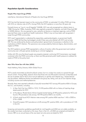## **Population-Specific Considerations**

#### People Who Inject Drugs (PWID)

Jude Byrne, International Network of People who Use Drugs (INPUD)

HCV has had the heaviest impact on the community of PWID: an estimated 10 million PWID are living with HCV, an infection rate of 67%. Among PWID, the HCV epidemic is more than 30 years old.

Formerly known as "non-A, non-B hepatitis" (NANB), HCV was only recognized as a distinct strain in 1988. During the 1980s, Australian PWID were regularly screened for hepatitis, and told if they had HBV or NANB infection. No one seemed to care, certainly not doctors or treatment agencies, and so PWID assumed there were no significant health implications. While it may not have been well recognized, it swept through PWID communities.

HCV wasn't appreciated or understood by researchers, gastroenterologists, or government health agencies; PWID felt that they had dodged a bullet if they were only infected with HCV and not also HIV. This was reinforced by doctors and policymakers' general lack of awareness or attention to the implications of HCV infection. This ignorance was compounded by historical stigma, discrimination, and neglect of PWID.

The HCV epidemic among PWID represented a culture of inaction within the government and medical community over a 20-year period, bordering on criminal negligence.

Unlike with HIV, once the blood supply was properly screened, continuing HCV transmission was largely contained within the PWID community, so there was little perceived public health pressure to address the needs of PWID at the policy level.

#### Men Who Have Sex with Men (MSM)

Noah Metheny, Policy Director, MSM–Global Forum

HCV is easily transmitted via blood-to-blood contact, but it is unclear how easily it is spread through sexual contact. Among MSM, research shows that those who are HIV-positive and have condomless anal sex are at greater risk for HCV, since immune deficiency or genital ulcer disease (e.g., herpes lesions) may be present. Additional factors are believed to be group sex, fisting, and use of non-injection drugs, including cocaine and methamphetamine.

Recently, there were reported outbreaks of sexually transmitted HCV among HIV-positive MSM in Europe, the U.S., and Australia, including:

- 1. In New York City, from 2005 to 1010, 74 HIV-positive MSM with no history of injecting drugs tested positive for HCV.
- 2. In Providence, Rhode Island, Miriam hospital started testing all HIV-positive patients for HCV, and found a 9% prevalence rate among 150 HIV-positive MSM in six months.
- 3. A Dutch study found HCV infection rates among HIV- positive MSM rose from 1-4% in 2000 to 21% in 2008.
- 4. Overall European HCV prevalence is 6.6% among HIV- positive MSM, with a prevalence of 7.2% in the U.K.

Screening and prevention guidelines specifically for viral hepatitis and MSM are not widely available, as few studies have been conducted on this issue. Even in the U.S., all MSM are screened and tested for chronic HBV on an annual basis at the very least, but only some are tested for HCV.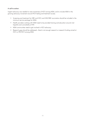#### A call to action:

Urgent advocacy was needed to raise awareness of HCV among MSM, and to include MSM in the growing advocacy movement around HCV testing and treatment access.

- Screening and treatment for HBV and HCV, and HAV/HBV vaccination should be included in the minimum service package for MSM.
- Health providers working with MSM need to be provided training and education around viral hepatitis and comorbidity of HIV.
- MSM communities need to get involved in HCV advocacy.
- Research gaps should be addressed—there's not enough research or research funding aimed at HCV or HIV/HCV among MSM.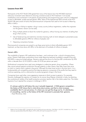## **Lessons from HIV**

Participants at the HCV World CAB agreed that many of the lessons from the HIV/AIDS treatment advocacy movement were relevant to ensuring universal access to HCV treatment. Civil society mobilization and involvement in all aspects of policymaking and programming were critical to widespread access to affordable, quality-assured generic ARVs. Many of the experienced AIDS activists at the HCV World CAB were aware of tactics that pharmaceutical companies had used to limit access to lifesaving ARVs in LMICs:

- Delaying or failing to register a drug in every country (without registration, neither the originator nor the generic version can be sold);
- Filing multiple patents to block the market for generics, without having any intention of selling their drug in that country;
- Use of tiered pricing and restrictive voluntary licensing, both of which delayed or prevented access to affordable generics ARVs for millions of people; and
- Opposing compulsory licenses.

Pharmaceutical companies are poised to use these same tactics to block affordable generic HCV treatment, as they have done with ARVs, to the detriment of hundreds of millions of people.

#### Generic ARVs

The availability of generic HIV medications has been—and continues to be—critical to bringing down prices. Generic fixed-dose combinations have made lifesaving treatment available to people living with HIV/AIDS in resource-limited settings. Generics reduced the price of a first-line ARV combination by 99% within a decade (from US \$10,000 to under US \$100 per person per year).<sup>1</sup>

Multinational companies have used many strategies to undermine generic drug competition. Where they cannot prevent generics production through patents or other means, they often lower their price to match or nearly match a generic drug price. Although this does lower prices in the short term, it is a fundamentally anti-competitive practice that deprives generics companies of the profits that they need to continue operating, and is a disincentive to producing generic drugs in the future.

Companies have used other, more aggressive measures to block access to generics. For example, Novartis challenged the rejection of a patent for its cancer drug Gleevec (imatinib) in India, by attacking the constitutional validity of the health protection provision (section 3d) in the Indian patent law. The Indian Supreme Court rejected the company's challenge in 2013.

*It's always useful to tell history the way it actually happened…It WAS generic competition… the history of HIV shows that is what drives down prices, and that is what increases availability. But it's not just prices, it's where you can get the drugs out to, it's distribution, it's everything...but for us the history of the HIV movement is precisely that: generics.*  —Kajal Bhardwaj, India

<sup>1.</sup> Médecins Sans Frontières (MSF). Untangling the web of antiretroviral price reductions, 16th Edition. July 2013. Available from: http://www. msfaccess.org/sites/default/files/AIDS\_Report\_UTW16\_ENG\_2013.pdf. (Accessed 2014 June 9)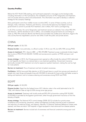## **Country Profiles**

Before the HCV World CAB meeting, each participant prepared a one-page country backgrounder, including information on HCV prevalence, the availability and price of HCV diagnostics and treatment, and civil society advocacy plans and achievements. This information was used to develop a collective strategy for the company meetings.

Many participants came from middle-income countries (MIC). In some of these countries, such as Georgia, India, Indonesia, Thailand, and Ukraine, community-led advocacy has helped convince governments to commit to provide HCV treatment, and in others, HCV work is just beginning.

In all of the countries, the cost of diagnostics and treatment remains an obstacle. Even where PEG-IFN and ribavirin—still the standard of care in LMICs—are available and governments are committing to scale-up, PEG-IFN producers (Roche and Merck) have provided only modest price reductions. Egypt is the only country that has negotiated a price for new DAAs in both the public and private sectors.

# **CHINA**

GNI per capita: US \$5,720.

Disease burden: many estimates, no official number: 0.4% to over 4%, but 60%–90% among PWID.

Access to treatment: IFN+ribavirin (RBV or PEG-IFN/RBV. Treatment access is extremely limited, largely due to price of PEG-IFN (US \$8,000–10,000) and socioeconomic position of PWID and poor rural residents.

Access strategy: In 2013, the Chinese government opened an office (inside the national CDC) dedicated to viral hepatitis, but there is no national plan or any treatment guidelines. Government insurance technically includes HCV treatment, but only for expensive inpatient treatment, making the cost too high for most patients.

Barriers to treatment: Price of treatment and lack of patient awareness.

Facilitators: NGOs have paid little attention to HCV, though there is a push from groups and networks of people who inject drugs and people living with HIV/AIDS to advocate for lower prices and better access to testing and treatment, and to increase screening and awareness among PLHIV and PWID.

# EGYPT

GNI per capita: US \$3,290.

Disease burden: Egypt has the highest known HCV infection rates in the world (estimated to be 10– 13%), with infection rates as high as 50% among some age groups.

Access to treatment: Treatment with locally produced PEG-IFN (a biosimilar costing EGP 20,000/ US \$2,850) is provided by the Egyptian government, either through government insurance or from the Ministry of Health.

Access strategy: The National HCV control strategy (2008–2012) includes four priority areas: surveillance and monitoring, prevention, patient management (includes improved access to treatment and reduction of medicine prices), and research. Recently 10 National Treatment Reference Centers were opened, and there are about 100 hospitals in Egypt equipped to treat advanced liver disease patients.

Barriers to treatment: Barriers include lack of awareness and financial constraints among poor rural residents.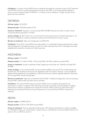Facilitators: A number of local NGOs have successfully advocated for improved access to HCV treatment with PEG-IFN, and are currently advocating for access to new DAAs. Civil society pressure helped to secure a price of approximately US \$900 for a 12-week course of sofosbuvir in Egypt, though only for government procurement.

# GEORGIA

GNI per capita: US \$3,290.

Disease burden: 200,000 people (6.7%).

Access to treatment: Georgia is introducing free PEG-IFN/RBV treatment for prison inmates. Access among the general population is limited.

Access strategy: By 2013, there was a commitment from the government, but limited funds (approx. US \$2 million) available for scaling up treatment, starting with free treatment for those in prison.

Barriers to treatment: High cost of diagnostics and PEG-IFN.

Facilitators: Since 2010, many NGOs have advocated for a coordinated national response that includes reduced diagnostic and treatment prices, as well as to raise awareness about HCV. Campaigns have also targeted pharmaceutical companies for high drug prices.

# INDONESIA

GNI per capita: US \$3,420.

Disease burden: 9.4 million (3.9%); 77% among PWID, 60–90% coinfection among PLHIV.

Access to treatment: Access is extremely limited, largely due to the high cost. Treatment includes PEG-IFN/RBV.

Access strategy: A new national health insurance scheme (effective January 2014) includes testing and treatment for viral hepatitis for those who are registered under the scheme. However, a new presidential decree forbids treatment for drug addiction, and limits the amount used for hepatitis treatment. Many fear HCV among PWID will also be excluded.

Barriers to treatment: High price of treatment (US \$10,560-14,400) and diagnostics; lack of awareness among PWID, medical staff, and other service providers.

Facilitators: The national PWID network and other NGOs have successfully advocated for the government to create a multisector HCV task force (including civil society), and participated in drafting national harm reduction guidelines that include HCV services. NGOs continue to advocate for HCV treatment price reductions and the removal of barriers for current and former PWID to access HCV treatment.

# KENYA

GNI per capita: US \$860 (2012).

Disease burden: 0.2% to 0.9% (40% among PWID).

Access to treatment: There is extremely limited access. HCV testing and treatment is neither accessible nor affordable. Testing can only be done in research set up, and treatment is only provided for the few rich persons who can afford to pay for it.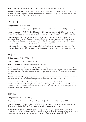Access strategy: The government has a "viral control plan" which is not HCV-specific.

Barriers to treatment: There is a lack of awareness and information about HCV at all levels. Testing and treatment are far too expensive for the affected populations (largely PWID), and only a few facilities can provide these services, most at the national level.

# **MAURITIUS**

GNI per capita: US \$8,570 (2012).

Disease burden: est. 40,000 people (3.1% of total pop.), 97.3% HCV+ among PWID (2011 survey).

Access to treatment: PEG-IFN/RBV (48 weeks), which costs approximately US \$20,000 per patient. Telaprevir is available on a named-patient basis only and costs approximately US \$33,000 (3 months).

Access strategy: There is no national policy or related policies, and a lack of information and awareness. Those who test HCV positive are not referred for viral load or genotyping. Treatment is only offered if a person has been infected prior to 1997 (when blood donation screening for HCV began). There is no registry or monitoring for people who have been tested HCV-positive.

Facilitators: There is a newly formed network of 12 NGOs planning to advocate for improved HCV treatment. One existing NGO (composed of full-time doctors) has had some limited impact in the past.

# RUSSIA

GNI per capita: US \$12,700 (2012).

Disease burden: 5.8 million people (4.1%).

Access to treatment: Treatment is primarily PEG-IFN/RBV.

Access strategy: Russia has a national HIV, HCV, and HBV program. Treatment and testing should be available free of charge for people with HIV/HCV coinfection, and in some regions for a limited number of people with mono-infection. The total (federal) budget for HCV drugs in 2012 was around US \$45 million.

Barriers to treatment: High pricing; lack of knowledge about the disease and the treatment and services available; lack of funds for monoinfected patients; stigmatization of people using drugs.

Facilitators: Many different NGOs have advocated for increased HCV budgets. One group successfully sued for access to free HCV testing for mono-infected patients (as well as coinfected ones). NGOs continue to pressure pharmaceutical companies to lower prices. Some HIV groups are also providing HCV information, counseling, and testing.

# THAILAND

GNI per capita: US \$5,210 (2012).

Disease burden: 1.5 million (2.2% of total population), but more than 90% among PWID.

Access to treatment: Access to PEG-IFN/RBV is limited; a new government treatment program and a demonstration site (run by Treat Asia) are expected to increase access in 2014.

Access strategy: National policy includes HCV treatment under the Universal Healthcare scheme. PEG-IFN is on the Essential Drugs List (EDL), though access is still limited to genotypes 2 and 3 (24-week). Side-effect management and drugs are paid by patient. HCV screening is covered for PLHIV.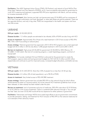Facilitators: Thai AIDS Treatment Action Group (TTAG), PSI-Thailand, and network of local NGOs (Thai Drug Users' Network and Thai Network of PLWHA, et al.), have successfully advocated for government to cover HCV screening and treatment, supported PEG-IFN price negotiations with Merck, and are working to increase awareness of HCV.

Barriers to treatment: Main barriers are high cost (government pays US \$4,800) and low awareness of HCV. Few if any get confirmatory viral load, genotype, or other tests (these are paid by patients). There are few specialist doctors, and only in big cities. PWID are marginalized in the health care system and have very little access.

# UKRAINE

GNI per capita: US \$3,500 (2012).

Disease burden: 1.2 million people are estimated to be infected; 65% of PLHIV are also living with HCV.

Access to treatment: Approximately 5% of those who need treatment in 2013 have access to PEG-IFN/ RBV, 15% in 2014 (according to national plan).

Access strategy: National government has approved a 2013–2016 HCV program, but current approved budget (US \$4.3 million in 2013) only allows 1,048 people treatment in 2013 and 3,300 in 2014.

Barriers to treatment: High prices (US \$5,600 for government US \$5,000 for AIDS Alliance, US \$14,880–17,040 retail). Also lack of a screening program, a weak hepatology program, and lack of trained staff.

Facilitators: Civil society mobilized (76 local NGOs) to advocate for the government to create the HCV program, approve state and local government budgets for HCV (US \$4.3 million and \$2 million respectively) and continues to push for improved access, increased budget allocations, and better services.

# VIETNAM

GNI per capita: US \$1,550 (2012). More than 43% of people live on less than US \$2 per day.

Disease burden: 4.5 million (5% of total population); up to 98.5% of PWID.

Access to treatment: Very limited access to PEG-INF/RBV treatment.

Access strategy: Vietnam government has included PEG-IFN on the national drugs list (which allows reimbursement by state-run insurance plans), but as the national HCV treatment guidelines have not yet been released, to date nobody has been treated under this plan.

Barriers to treatment: Lack of awareness and price of medicines. PEG-IFN costs about US \$150/dose, or US \$7,200 for a full course of treatment. There is a potential 66% reduction through a "buy one get two free" deal, but even US \$2,400 would still be too expensive for either patients or government.

**Facilitators:** Vietnamese and foreign NGOs have made large efforts to secure government commitments to provide prevention, testing, and treatment for HCV. Inclusion of PEG-IFN on the national medicines list is an example of their advocacy impact.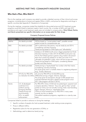# MEETING PART TWO: COMMUNITY-INDUSTRY DIALOGUE

## **Who Had a Plan, Who Didn't?**

Prior to the meetings, each company was asked to provide a detailed overview of their clinical and access programs, including plans to license and register DAAs in LMICs, and prices for diagnostics and drugs in specific countries (see Appendix D: Questions to Companies).

During the meetings, companies insisted that eligibility for discounted prices and HCV treatment access programs would be linked to treatment needs in each country. Yet, a number of MICs with high HCV prevalence and urgent unmet treatment needs were not included in company plans. Only Gilead, Roche, and Merck presented any specific information on an access plan for their drugs.

| Company    | <b>Countries included</b>                                                                                                                                       | <b>Access policy</b>                                                                                                                                                                                                                                                                                                                                                                                                            |
|------------|-----------------------------------------------------------------------------------------------------------------------------------------------------------------|---------------------------------------------------------------------------------------------------------------------------------------------------------------------------------------------------------------------------------------------------------------------------------------------------------------------------------------------------------------------------------------------------------------------------------|
| AbbVie     | No details provided                                                                                                                                             | Will be based on "unmet patient need"; possible named-<br>patient access for compassionate use.                                                                                                                                                                                                                                                                                                                                 |
| <b>BMS</b> | No details provided                                                                                                                                             | Still in preliminary discussions, may be ready by end 2014.<br>Considering voluntary licensing.<br>Tiered pricing based on GNI/capita and "affordability."                                                                                                                                                                                                                                                                      |
| Gilead     | 60 LICs                                                                                                                                                         | Sofosbuvir US \$350/month price in Egypt presented (not final).<br>Voluntary licensing in India with US \$2,000/course price cap.<br>The VL that Gilead grants to generic drug makers will prevent<br>them from producing sofosbuvir on their own even if it is<br>ultimately not patented in India, which will limit access worldwide.<br>Tiered pricing based on GNI/capita, considering disease<br>burden and other factors. |
| Janssen    | No details provided                                                                                                                                             | Tiered pricing is "equity-based" but unclear what that means.<br>Considering voluntary licensing.<br>No prices given even in markets where it is registering telaprevir<br>(e.g., Tunisia, Morocco).                                                                                                                                                                                                                            |
| Merck      | 49 LICs for PEG-IFN;<br>no indication for DAAs                                                                                                                  | LIC price for PEG-IFN at US \$2,000/course.<br>Differential pricing in Egypt, Ukraine, Georgia.<br>No prices given for boceprevir, though 2,400 people have<br>received treatment through a global access program since<br>2011 (the program will end in 2014).                                                                                                                                                                 |
| Roche      | U.S. & developed<br>world (ex-U.S.):<br>Uniform pricing.<br><b>Emerging Markets:</b><br>Tiered pricing and<br>dual branding;<br>LICs: no patent<br>enforcement. | For PEG-IFN: China: \$150/vial mix patient/govt. payment and<br>company donation; Vietnam: "buy one, get two free," priced<br>similar to China, but not actually running; India: dual branding.<br>Egypt, Georgia, Morocco: negotiated prices.<br>Claims to have lowered price on PEG-IFN in many cases<br>recently, but thin on details.<br>Has patient assistance programs, negotiate on a case-by case<br>basis.             |

#### Company Proposed Access Policies

Companies failed to provide in advance or during the meetings:

- Specific numbers of people who had accessed treatment under existing access programs;
- Prices in different LMICs;
- Registration plans for the new generation of DAAs; or
- Methodology used to determine tiered pricing.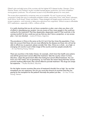Gilead's plan excluded some of the countries with the highest HCV disease burden: Georgia, China, Ukraine, Russia, and Thailand. Its plan included licensed generic production, but limits competition among generic producers. This will prevent access to truly affordable generics for many years.

The access plans presented by companies were not acceptable. VLs and "access pricing" allows companies to keep their grip on potentially profitable markets, particularly China, India, Brazil, Indonesia, South Africa, South Korea, Turkey, and Mexico. These strategies will largely prevent production of, and access to generics—and minimize or delay price reductions from originators. Without access to affordable HCV medications—especially in MICs—millions will die.

*It is really shocking that you do not have a projection or plan, even when you show a lot of efforts in developing your product. Are you aware of how many people in the world are waiting for this treatment? That they desperately, desperately need it? That could die in the coming months? So how could you just say that you don't have a projection, or any access plan...I am very shocked.* —Lorena Di Giano, Argentina

*The prevalence in China is the same as the U.S. but it has four times the population. If you take into account that those who are most affected by the disease are those who will not be able to afford any co-payment, please consider that. Also, China as a whole…as a high, or emerging rich country is just a false image of the country and how people actually live.*  —Dr. Lisa Peiching Huang, Vietnam

*There are countries in the Indian Ocean, for example, which have free health care systems and still the government cannot afford the treatment. Take the country where I'm from, Mauritius, where the government offers free testing but cannot afford treatment. You can know your HCV status, but no genotyping, no viral load, the reason being that they cannot promise anything afterwards, they cannot afford to provide treatment. The drugs are simply too expensive.* —Nudhar Bundhoo, Mauritius

*For the higher income countries [the price of treatment] shouldn't be so high. You say that transplants are very expensive, but can you count the amount of countries that they are paying for the transplant for the patient? Normally the patient just dies.* —Dr. Kieu Thi Mai Huong, Vietnam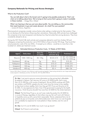## **Company Rationale for Pricing and Access Strategies**

#### What Is the Production Cost?

*You can talk about what is the lowest cost it's going to be possibly produced at. That's not what we're talking about here. We're trying to find a price that's going to make it available in these markets.* —Gregg Alton, Gilead

*What I am hearing is that you just care about profits. You are telling us, the communities that need treatment, to go and create demand...for what? For your pockets?* —Lorena Di Giano, Argentina

Pharmaceutical companies consider various factors when setting a market price for their product. They do not disclose all of the factors influencing their calculations. Historically, AIDS activists have challenged the companies to be more transparent and disclose how they formulate their pricing decisions. They have consistently refused to do so.

During the HCV World CAB, both activists and companies referred to work from Andrew Hill and colleagues comparing the production cost of HCV DAAs to those of similar HIV drugs. They found that actual production costs of the new DAAs—if ramped up to millions—would be no more than a few hundred U.S. dollars per treatment course.

| Agent       | Daily dose   | Dose for<br>12 weeks | <b>Production cost</b><br>estimate $(\frac{5}{g})$ | <b>Predicted cost</b>                 |
|-------------|--------------|----------------------|----------------------------------------------------|---------------------------------------|
| Ribavirin   | 1000-1200 mg | $84 - 100q$          | $$0.25 - 0.75$                                     | $$21-63 (1000mg)$<br>\$25-76 (1200mg) |
| Daclatasvir | $60$ mg      | 5g                   | $$2-6$                                             | $$10 - 30$                            |
| Faldaprevir | 120 mg       | l Og                 | $$10-21$                                           | $$100 - 210$                          |
| Simeprevir  | 150 mg       | 3 <sub>q</sub>       | $$10-21$                                           | \$130-270                             |
| Sofosbuvir  | 400 mg       | 34 <sub>g</sub>      | $$2 - 4$                                           | $$68-136$                             |

#### Estimated Minimum Production Costs, 12 Weeks of HCV DAAs

Source: Hill A, Khoo S, Fortunak J, et al. Minimum costs for producing hepatitis C direct-acting antivirals for use in large-scale treatment access programs in developing countries. Clin Infect Dis. 2014 Apr;58(7):928-36.

Dr. Mai: I just want to give you some information on the pricing that's affordable by patients in Vietnam. Let's say your LIC price is US \$350/month: that's more than US \$1,000 [for a full course of treatment]. We are NGOs working with PWID, sex workers, and PLWHA: people who don't even have the money to buy needles, so they have to share needles, that's how they got HCV. If you put the price at US \$1,000, it's very expensive for them. Even if the government is paying for the health insurance, I think the price shouldn't be more than US \$200 for the whole treatment.

Gilead: The first thing I'll say is, we can't even make the product for US \$200 for a course of therapy, regardless of what others may say. But we'll work with Vietnam to hopefully come up with a price that's reasonable. We do understand that a lot of patients do pay out of pocket, and unfortunately even what I know our cost of goods are is probably too expensive for most patients in these markets, even for cost of goods.

Dr. Mai: So if it's not US \$200, how much it can go down?

Gilead: You'll have to wait and see.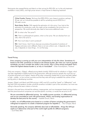Participants also pressed Roche and Merck on their pricing for PEG-IFN, as it is the only treatment available in many LMICs, and high prices remain a major barrier to lifesaving treatment.

> Chloé Forette, France: We know that [PEG-IFN] is very cheap to produce, perhaps \$5 per vial, so it should be possible to sell for something around \$250 for a 48-week course.

René Maier, Roche: With regards the estimation of a fair price, if you look at the estimation for production costs, this might not be considered a fair price from our perspective. We would obviously also need to have some additional costs.

CF: So what is the "fair price"?

RM: That is a philosophical question, what is a fair price. We can disclose from our side, what a fair price is.

CF: How much does it cost to produce?

RM: I don't know, I don't know, because we produce thousands of variations of Pegasys and every cost is different, there is not one uniform cost...it depends on the size, it depends on many things…it's not that easy.

#### Tiered Pricing

*Every company is coming up with your own interpretation of who fits where. Sometimes it's based on the GNI, sometimes it's based on the disease burden. But when you want to exclude somebody, you don't consider the reality in the country. Why is China always excluded? That's where the highest disease burden is, so why is it excluded?* —Giten Kwairakpham, Thailand

Only one company—Gilead—offered pricing details (initially, \$350/month for sofosbuvir in Egypt, which was later negotiated to \$300/month for the government, although prices for people who must pay out of pocket remained much higher). Nearly all the other companies insisted that no price had been settled in high-, middle-, or low-income countries and that they were still trying to establish the outline of their pricing policy in developing countries.

Janssen, Gilead, and Merck said DAA pricing in MICs and LICs would be "tiered" or "differential," and that both GNI and epidemic burden would be somehow included in part of the calculation, but none was willing to discuss the exact criteria or formula.

Activists in the past have criticized the arbitrary, inappropriate, and non-transparent tiered pricing criteria and that pharmaceutical companies can exclude specific countries, or revoke the set price at will.

*We are committed to differential pricing…for middle-income countries, it's differential pricing, and we are committed to work with governments, NGOs, and funding organizations to develop the best price for the country.* —Isabelle Girault, Merck

*In MICs, we will differentiate price based on a number of factors including the government's willingness to expand or to create a treatment program for hepatitis C. —Paul Schaper, Merck* 

*Generally speaking, the company definitely does look at affordability…things like GNI per capita as it determines what part of the world might qualify for different programs.* —Sunil Patel, BMS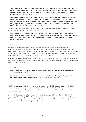*We're looking at the infected population. We're looking at GNI per capita. And then we'll develop three tiered categories. You'll have a low-income, lower-middle income, and middleincome. Those three categories will have a pricing per cure associated with each of these categories.* —Gregg Alton, Gilead

*In emerging markets, we try to improve access. There is tiered pricing, dual brands (flexible prices) where there is no public funding (i.e., out of pocket), lowering prices…In the poorest part of the world, the least developed and low-income countries, … we do not enforce patents in the poorest countries and we are willing to accept generic companies supplying to the market there as needed.* —René Maier, Roche

Dirk Van Eeden from AbbVie was the only pharmaceutical representative to refer to the flaws of tiered pricing, although he did not suggest a solution:

*First with regards to preferential pricing, everybody had a preferential tiered pricing system. Quite frankly, I don't think it worked. Countries are too different, you can look at two countries right next to each other, one's GDP is just below or above, and how do you distinguish between the two?*

#### Licensing

A number of companies proposed or said they are considering issuing voluntary licenses in LMICs. Although companies took credit for supporting access to generic ARVs, their VLs actually created serious access barriers. VLs limit production volume and distribution of generics; by charging royalties, companies ensure that profit margins will be too low to attract many generics producers. These VLs exclude many high- burden MICs, since companies see them as emerging markets.

As an example, Gilead's proposed VL for sofosbuvir limits access to only a fraction of all the people who need it—and allows Gilead to block generic drug production and collect royalties, even in countries where sofosbuvir is not patented.

#### **Registration**

*Our line: We need to register in those countries where we can make a lot of money first.* —Dirk Van Eeden, AbbVie

*We are not very happy when we see companies trying to delay the registration process while they try to figure out the patent status.* —Shiba Phurailatpam, Thailand

Participants stressed that without firm commitments to register in LMICs, access would be delayed by several years, but they were not given specific timelines for DAA registration. Most companies said that it was too early to commit to registration schedules, especially as most of the new drugs were not yet approved in the U.S. or Europe.

Gilead said it was opening offices in countries including Russia, Brazil, and India, with the aim of registering and marketing HCV treatment at prices that would allow rapid treatment scale-up; BMS said discussions were ongoing about registration of its DAA daclatasvir in Mexico, Brazil, and Argentina, as well as clinical trials (required for registration) in China.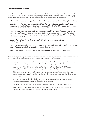## **Commitments to Access?**

Each pharmaceutical company declared its commitment to the fundamental principle that medicine should be accessible to all who need it. Many company representatives cited their experience with HIV, saying lessons they learned would translate into faster access to more affordable HCV treatment.

*Our goal is to reach as many patients with hep C as quickly as possible.* —Gregg Alton, Gilead

*I can tell you what the general principle will be, that we will have underpinning all of our decisions, and that will be unmet patient need…we didn't develop this product to stay in the laboratory in the United States.* —Dirk Van Eeden, AbbVie

*Our aim is for everyone who needs our products to be able to access them…In general, we do have a philosophy that our primary contribution is to develop and invent medicine that can improve patients' lives, and our aim and mission is for patients to be able to access those medicines.* —Yvette Venable, Roche

*Really what we're trying to do in terms of HCV is to work towards eradication.*  —Karin Cerri, Janssen

*We are also committed to work with you and other stakeholders to make [HCV] drugs available and affordable as quickly as possible.* —Isabelle Girault, Merck

**One of our core principles is access to our medicines for patients.** —Gary Rose, BMS

But instead of presenting their plans to increase and speed up access, companies raised obstacles familiar to AIDS activists from similar discussions over the last 20 years. These included:

- Insisting that governments needed to "show commitment" to either expanding existing treatment programs or providing universal access before affordable pricing could be offered;
- Insisting that a "global funding mechanism" similar to the Global Fund or PEPFAR would be needed before HCV treatment would be accessible to those in LMICs;
- • Offering discounted but still unaffordable prices to "access countries" composed of the world's poorest countries, many of which have neither an HCV treatment program nor the ability to fund such a program;
- Insisting that barriers other than high prices, such as poor medical training or infrastructure, needed to be addressed, instead of discussing actual prices;
- Excluding the countries with the highest HCV disease burden from "access" pricing plans;
- Basing access programs and pricing on countries' GNI rather than a realistic assessment of people and government's ability to pay for treatment (see Appendix E).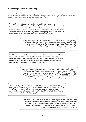## **Who Is Responsible, Who Will Pay?**

Throughout the meetings, each company said its commitment to access was contingent upon governments to provide leadership and resources, or external funding mechanisms to pay for treatment. Yet, there is no indication that a designated HCV global fund is in the works.

*We need to see a budget for hep C...we need to start to convince governments that there's an investment that needs to be made in hepatitis C, it has been made in HIV and it has worked. If we see that same investment in hepatitis C that's when we could really move the needle… Even at the lowest drug price possible, a lot of these patients aren't going to be able to afford it, so you're going to have to have money.* —Gregg Alton, Gilead

> *In many middle-income countries, whether we like it or not, people pay out of pocket. The only way we will increase access is to make an affordable price for them. Counting on the government and the third party payers in that middle-income country market, which is the biggest one, is not going to increase access.* —Els Torreele, United States

*Until there was a PEPFAR and until there was a Global Fund and until there was a Gates foundation Initiative there really was terrible access to HIV drugs, no matter what programs were in place…I think it's going to be really hard to provide the kind of access to these kind of drugs that we need to provide without that kind of program.* —Gary Rose, BMS

> *You talked about the Global Fund…there simply will not be a global fund for HCV…nor will the high price be supported in the developing world. When you set your prices, you need to ask the community, ask governments what will really allow access. Please don't set your price at US \$80,000 or \$40,000 or \$20,000 and then wait for the global funding mechanism to appear, because that's not going to happen.* —Giten Kwairakpham, Thailand

*We have to work at this together…unless there is a sustained investment in treatment for hepatitis C, we're not going to see the sort of access that I think we all want to see...I think as governments and donors start ramping up their funding for treatment, we will certainly be able to take further steps to enhance affordability.* —Paul Schaper, Merck

> *I think it's just a kind of diversion, this issue of political will. We know that political will comes when treatment is affordable…In our middle-income countries, it's not only government that pays for medicine. We think that other people, medical insurance and other systems can pay for the drug if treatment is affordable.* —Othman Mellouk, Morocco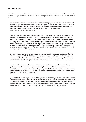## **Role of Activists**

The activists emphasized the importance of community advocacy and activism in facilitating access to treatment. They work closely with civil society and their governments, and urged companies to do their part.

*So many people in the room have been working on trying to garner political commitment from their governments to increase access to hepatitis C treatment. There have been a lot of successes in the last few years in places like Georgia and Ukraine and Thailand, but ultimately price is THE most critical barrier that needs to be overcome.*  —Azzi Momenghalibaf, United States

*We [civil society and communities] need to talk to governments, and we do that now…we pushed our governments to design HCV programs in Russia, Ukraine, Moldova, Georgia and other countries. It is your turn to cooperate with our governments. We have a strategy, we have a regional plan; [now] you should go to our governments and offer them reduced prices for the state-run programs. You should not enforce your patent in our region. You should do clinical trials to ensure access for those with special needs; and, of course, you should set prices in such a way that people with an average income can afford it. It's that simple.* —Ludmila Maistat, Ukraine

*It's not because our government suddenly decided to put money in and buy hep C drugs. It's not because of WHO, WHO did nothing to push countries to do that. And if today we have access for drugs that are sold in Vietnam, in Thailand, in my country, Morocco etc., either by people or by the government, it is because of us.* —Othman Mellouk, Morocco

*Taking the lessons from HIV, civil society was extraordinarily successful in mobilizing political support and access to generics through pressure…I think everyone here understands, as you do, what makes things happen. And we're trying not to go through the same charade as with HIV, as we know all the limitations of poor licenses and differential pricing.* —Karyn Kaplan, United States

*[to Merck] "You were saying US \$2,000 is your "rock-bottom" price, but…look at Indonesia. They have nine million people with HCV, they would need US \$18 billion dollars at your US \$2,000 price, there's no way they can find 18 billion dollars to provide universal access. Even if we could find the political will, the price itself is telling governments, "Don't even go there, just ignore the problem", and you know that.* —Khalil Elouardighi, France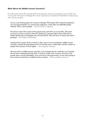## **What About the Middle-Income Countries?**

Few MIC governments offer universal health care programs, leaving most people to pay for health care out of pocket. Participants challenged the criteria companies use to determine thresholds for tiered pricing and voluntary licensing.

*Are you only thinking about low-resource settings? What about MICs where the epidemics are more generalized? I am coming from Argentina, where there are 800,000 people infected. That's a lot of people.* —Lorena Di Giano, Argentina

We all know that 75% at least of the people living with HCV are in the MICs. Why don't *you focus on those countries where the epidemic is most prevalent? Many MICs have a health infrastructure and people who can treat [HCV]. Why not focus on where the need is greatest?* —Els Torreele, United States

*Looking back to some of the countries in Asia, even if we are considered middle-income countries, actually the gap between the rich and the poor is really high, and the number of people who are poor is much higher.* —Sam Nugraha, Indonesia

*We know that in middle-income countries, a lot of people pay for medicines out of pocket. We just don't understand the fact that, if what you really want is access, the price in the private sector must be affordable. If you just rely on the government, we are never going to have access to treatment in middle-income countries.* —Othman Mellouk, Morocco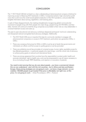# **CONCLUSION**

The 1<sup>st</sup> HCV World CAB did not lead to a clear understanding of pharmaceutical company initiatives for improving access to lifesaving HCV treatments in LMICs. Companies lacked a high-volume/low-profit vision that could move the world toward global eradication of the HCV pandemic, and provided little tangible information about pricing, registration, and licensing plans.

In spite of these disappointments, the meeting strengthened a burgeoning global community-led movement of people living with HCV, people who inject drugs, people living with HIV/AIDS, and their allies. Activists will continue to hold the drug companies accountable to their role as a key stakeholder in universal treatment access and scale-up.

The peer-to-peer educational and advocacy workshops deepened participants' technical understanding and sharpened national and global-level advocacy strategies. Additionally:

- The HCV World CAB was an important first step for community members to engage with pharmaceutical companies on access to HCV treatment, particularly new-generation DAAs, in LMICs.
- There was consensus that prices for DAAs in LMICs must be set at levels that governments and individuals can afford, and that access to quality generics must be promoted.
- There was solidarity around key principles of universal access, human rights, equitable access for key affected populations—in particular people who inject drugs—and the critical role of advocacy to achieve policy goals at national and international levels.
- There was strong agreement that countries have the responsibility to protect public health and promote individuals' right to health care, and must be empowered to use all means necessary to do so (including through TRIPS flexibilities, and rejection or revocation of patents).

*You need to start proving that you do care about people…you have a commercial interest, this we can understand…start with the rich countries…but in Africa and Asia and Eastern Europe, these pricing strategies are not going to work…we have a huge network, we can mobilize 100,000 people to get treated if the price is affordable, but right now, at this price, it is not going to work.* —Shiba Phurailatpam, APN+, Thailand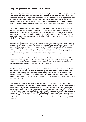## **Closing Thoughts from HCV World CAB Members**

*Thousands of people in Ukraine wait for the lifesaving HCV treatment that the government of Ukraine and most of the EECA regions cannot afford due to extremely high prices. It is important that we stand together in combating the unacceptable policies of pharmaceutical companies aimed at hindering access to new hepatitis C treatment. The WCAB, which brought together leading HCV activists from different parts of the world, is an important step in this battle for access to treatment.* —Ludmila Maistat, the HIV/AIDS Alliance–Ukraine

*There are important lessons to be learned from HIV treatment activism. The 1st World CAB on hep C for me was an important meeting, as it facilitated peer learning and sharing of those lessons learned across the regions. It also helped our communities in an effort to mobilize for tremendous scale-up of better, more effective treatment for hepatitis C in low- and middle-income countries.* —Ed Ngoksin, Global Network of People Living with HIV (GNP+), South Africa

*Russia is now facing a fast-growing hepatitis C epidemic, and the access to treatment is far from universal, to say the least. The current standard of care is available to a very limited number of patients, and the new meds are priced very high, as Russia is a high-income country. This CAB has been a great opportunity to discuss strategies to improve access among activists from all around the world; I hope the ideas I have accumulated here will*  be useful in our fight for the national Hep C treatment program. —Sergey Golovin, ITPC-ru, Russia

*It was very useful for me to sit and plan together with activists from around the world. Learning the latest global developments in HCV drug research and brainstorming on the challenge of access to these new drugs will hopefully allow us to secure treatment for millions of people in China.* —Thomas Cai, AIDS Care China

*WCAB was the stepping stone for direct negotiations of price reduction of HCV treatments with pharmaceutical laboratories; an opportunity that many small islands in the Indian Ocean do not get very often. Building such a strong alliance with the HCV World CAB partners meant more support from more people who are in the same fight; fighting for*  right to health, the right to life. - Nudhar Bundhoo, PILS (Prévention Information et Lutte contre le SIDA), Mauritius

*The World CAB Meeting on hepatitis was heralded as a revolutionary moment in the injecting drug-using community fight for acknowledgement as a partner in the response to this epidemic…being asked to work with other committed, experienced activists to look at this epidemic with honesty and clarity gave us great hope. The meeting itself provided us*  with both global and quite specific information that is invaluable to our global and regional *advocacy work. Just as importantly, I think, has been the ongoing dialogue between the members of the community, as we strive to ensure all members have the most up-to*date and relevant information. A monumental success on all levels! —Jude Byrne, INPUD, Australia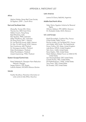# APPENDIX A. PARTICIPANT LIST

#### Africa

Abshiro Halake, Kenya Red Cross Society Ed Ngoksin, GNP+, South Africa

#### East and Southeast Asia

Zhang Bo, Yunnan IDA, China Thomas Cai, AIDS Care China Odilon Couzin, Hong Kong Kajal Bhardwaj, India Edo Agustian, PKNI, Indonesia Aditya Wardhana, IAC, Indonesia Do Dang Dong, VNP+, Vietnam Dr. Lisa Peiching Huang, MdM, Vietnam Dr. Kieu Thi Mai Huong, SCDI, Vietnam Paul Cawthorne, MSF, Thailand Dr. Gonzague Jourdain, Thailand Giten Khwairakpam, Thailand Shiba Phurailatpam, Thailand Jirasak Sripramong, TTAG, Thailand

#### Eastern Europe/Central Asia

Paata Sabelashvili, Georgian Harm Reduction Network, Georgia Sergey Golovin, ITPC-Russia Ludmila Maistat, HIV/AIDS Alliance-Ukraine

#### Islands

Nudhar Bundhoo, Prévention Information et Lutte contre le Sida (PILS), Mauritius

#### Latin America

Lorena Di Giano, RedLAM, Argentina

#### Middle East/North Africa

Heba Wanis, Egyptian Initiative for Personal **Rights** Othman Mellouk, ITPC-MENA, Morocco Dr. Mustapha Sodqi, ALCS, Morocco

#### U.S. and Europe

Khalil Elouardighi, Coalition Plus, France Chloé Forette, MdM, France Pauline Londeix, Act Up-Basel/ITPC, France Jorrit Kabel, AIDS Fonds, The Netherlands Simon Collins, HIV i-Base, United Kingdom Jude Byrne, INPUD, United Kingdom Tahir Amin, I-MAK, United States Karyn Kaplan, TAG, United States Noah Metheny, Global Forum on MSM & HIV, United States Azzi Momenghalibaf, OSF, United States Camila Picchio, TAG, United States Priti Radhakrishnan, I-MAK, United States Tracy Swan, TAG, United States Els Torreele, OSF, United States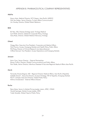## APPENDIX B. PHARMACEUTICAL COMPANY REPRESENTATIVES

#### AbbVie

Kazuo Aota, Medical Director, HCV [Japan, Asia-Pacific (JAPAC)] Dirk Van Eeden, Senior Director, Current Affairs Communication Jim Howley, Director, Global Patient Relations

#### BMS

BL Neo, MD, Disease Strategy Lead, Virology Medical Sunil Patel, Director, Global & Corporate Policy, Virology Gary Rose, Director, Global Medical Advocacy, Virology

#### **Gilead**

Gregg Alton, Executive Vice President, Corporate and Medical Affairs Nick Francis, Access, Emerging Markets and Health Policy, Public Affairs Phil Pang, Director of Clinical Research (via teleconference) Clifford Samuel, Vice President, Access Operations and Emerging Markets

#### Janssen

Karin Cerri, Senior Director – External Partnerships Ronan Collins, Director, Global Communications and Public Affairs Paul Slade, Senior Director, Infectious Diseases & Vaccines Regional Medical Affairs Asia-Pacific

#### Merck

Fernando Alvarez Bognar, MD - Regional Director Medical Affairs, Asia Pacific (Hepatitis) Isabelle Girault – Executive Director, Access & Strategy, HIV & Hepatitis, Emerging Markets Paul E. Schaper, Executive Director, Global Public Policy Kittima Sriwatanakul - External Affairs Director

#### Roche

Rene Maier, Senior In-Market Pricing Leader, Latam, APAC, CEMAI Harald Sprenger, Market Access Leader, APAC Yvette Venable, Global Head of Public Policy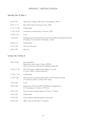# APPENDIX C. MEETING AGENDA

## Saturday, Feb. 22 (Day 1)

| $8:45-9:45$     | Welcome (K. Kaplan, TAG and S. Phurailatpam, APN+)                                                                              |
|-----------------|---------------------------------------------------------------------------------------------------------------------------------|
| $9:45-11:15$    | Basic DAA Literacy Training (T. Swan, TAG)                                                                                      |
| $11:15-11:30$   | Coffee Break                                                                                                                    |
| $11:30 - 12:30$ | Introduction to Biosimilars (A. Momen, OSF)                                                                                     |
| $12:30 - 1:30$  | Lunch                                                                                                                           |
| $1:30 - 3:00$   | Strategizing for HCV Treatment Access: Key Intellectual Property (IP) Issues<br>(P. Londeix, Act Up-Basel; K. Bhardwaj - India) |
| $3:00 - 3:15$   | Coffee Break                                                                                                                    |
| $3:15 - 5:00$   | Advocacy discussion                                                                                                             |
| $5:00 - 5:30$   | Wrap-up                                                                                                                         |

# Sunday, Feb. 23 (Day 2)

| $9:00 - 10:30$  | Key populations<br>People who inject drugs (J. Byrne, INPUD)<br>Men who have sex with men (N. Metheny, MSM-GF) |
|-----------------|----------------------------------------------------------------------------------------------------------------|
| $10:30 - 11:30$ | HCV DAA patent update and strategies for access<br>(T. Amin, I-MAK, via teleconference)                        |
| $11:30-11:45$   | Coffee Break                                                                                                   |
| $11:45-1:00$    | Pharmaceutical company approaches to HCV treatment access<br>(P. Cawthorne, MSF; S. Collins, HIV i-base)       |
| $1:00 - 2:00$   | Lunch                                                                                                          |
| $2:00 - 3:00$   | Experiences of Asia and EECA CAB Pharma Negotiations<br>(S. Phurailatpam, S. Golovin, ITPC-Ru)                 |
| $3:00 - 4:30$   | Drug company meeting logistics (T. Swan, S. Collins)                                                           |
| $4:30 - 4:45$   | Coffee Break                                                                                                   |
| $4:45 - 6:00$   | Drug company meeting logistics (continued)                                                                     |
| $6:00 - 6:30$   | Q&A, wrap-up (Facilitator: K. Kaplan)                                                                          |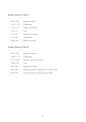# Monday, February 24 (Day 3)

| $9:00 - 11:00$  | Meeting with BMS     |
|-----------------|----------------------|
| $11:00 - 11:15$ | Coffee Break         |
| $11:15-1:15$    | Meeting with AbbVie  |
| $1:15 - 2:15$   | Lunch                |
| $2:15-4:15$     | Meeting with Janssen |
| $4:15-4:30$     | Coffee Break         |
| $4:30 - 6:30$   | Meeting with Merck   |

# Tuesday, February 25 (Day 4)

| $9:00 - 11:00$  | Meeting with Roche                               |
|-----------------|--------------------------------------------------|
| $11:00-11:15$   | Coffee Break                                     |
| $11:15 - 12:00$ | Advocacy next-steps discussion                   |
| $12:00 - 1:00$  | Lunch                                            |
| $1:00 - 4:00$   | Meeting with Gilead                              |
| $4:00 - 5:00$   | Meeting with Zydus/Cadila generic company, India |
| $5:00 - 6:30$   | Closing and wrap-up; advocacy action plan        |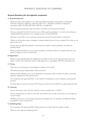# APPENDIX D. QUESTIONS TO COMPANIES

#### **General Questions (for all originator companies)**

#### A. Drug development

Please provide a brief update on your approved DAAs and those in the pipeline, including the following: sofosbuvir, ledipasvir, simeprevir, MK-5172 + MK-8742, daclatasvir, faldaprevir, asuneprevir, BMS-791325, ABT-450/r, ABT-267, and ABT-333.

Which drug-drug interaction trials have been conducted, and what are the results?

Have you assessed the antiviral activity of your DAAs against genotypes 4, 5, and 6, since these are understudied [and prevalent in low-/middle-income countries (LMICs)]?

Did look at new DAAs in pre- and post-menopausal women? Are there plans to study this?

Where can information about investigator initiated studies be found on your website? How else can we gain access to it?

Do you have an ideal drug regimen combining with another company products, and plans for studying them?

Please provide information on your access programs, including criteria for compassionate use, and plans to support or launch clinical trials.

#### B. Registration

Please provide expected dates for registering new DAAs in each country (see participant list) or by region, and for what indications will you seek approval (i.e., genotypes, HIV/HCV-coinfected, etc.)

#### C. Pricing

What are your pricing plans and strategies, by region and country?

Will tiered pricing be implemented? Where and how?

Please provide updates on your price negotiations with specific LMIC ministries of health, and share plans for meeting with other governments.

For companies with approved DAAs: In the interest of transparency, will you release country-specific pricing?

Are there plans to reduce the price of HCV drugs currently on the market? If so, please describe them.

#### D. Licensing

Are you planning to issue voluntary licenses to local manufacturers in LMICs?

Which companies do you plan to work with, and where? Can you tell us the price or price range set for each drug?

Whether and how you may be planning licensing strategies with, for example, the Medicines Patent Pool (MPP) or other mechanisms?

#### E. Marketing/Sales

For companies with approved DAAs: Please provide your sales data from global markets.

What are your regional marketing plans?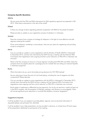### **Company-Specific Questions**

#### AbbVie

We are aware that the FDA and EMA submissions for DAA regulatory approval are expected in Q2 2014. What about submissions in the rest of the world?

#### Gilead

Is there any change of plans regarding potential cooperation with BMS for the phase III studies?

Please provide an update on your registration process of sofosbuvir in Indonesia.

#### Janssen

Does the company have a phase-out strategy for telaprevir in the light of more effective and safe regimens entering the market?

Given active telaprevir marketing in some places, what are your plans for registering and providing access to simeprevir?

#### Merck

Can you provide an update on price negotiations with the Ministry of Health (MOH) in Indonesia? In December 2013, activists were informed by the MOH during a meeting with the National AIDS Commission that negotiations were ongoing and that a price reduction on PEG-IFN in Indonesia was imminent.

Merck is the first company to have an in-house regimen including both PEG-IFN and DAAs. Does the company have any specific plans for a package price for markets that are rolling out national hepatitis C treatment programs?

#### Roche

What information do you use to formulate pricing decisions for HCV RNA testing?

Are you planning to lower the price of viral load testing, including the cost of reagents and other components? Please describe.

Can you provide an update on price negotiations with the MOH in Indonesia? In December 2013, activists were informed by the MOH during a meeting with the National AIDS Commission that negotiations were ongoing and that a price reduction on PEG-IFN in Indonesia was imminent.

Roche states it implements a differential pricing approach, but we do not see that in reality (at least not in the EECA markets, with the exception of Georgia, perhaps, and Ukraine, to some degree). When will we see significant price reductions in countries like Moldova, Armenia, Kyrgyzstan?

#### Suggestions/requests:

It will be excellent if you can prepare to provide global, regional, and country-level information if requested (please use participant list, attached).

It will be excellent if your slide presentation can be provided in advance, or at least have 40 hard copies of the presentation distributed to participants at the meeting.